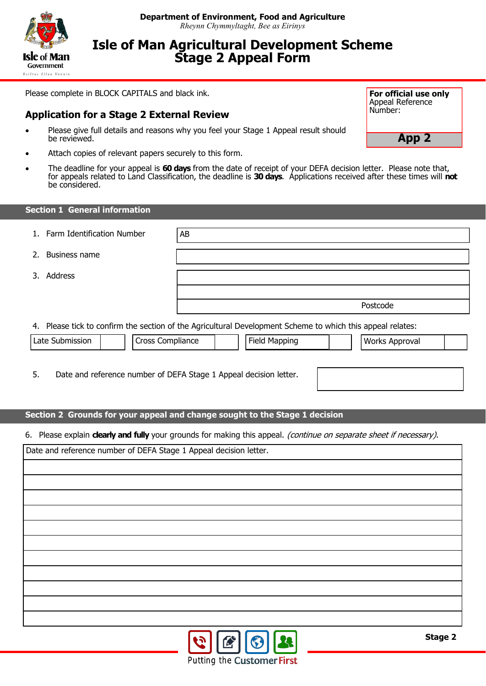

# **Isle of Man Agricultural Development Scheme Stage 2 Appeal Form**

Please complete in BLOCK CAPITALS and black ink.

### **Application for a Stage 2 External Review**

- Please give full details and reasons why you feel your Stage 1 Appeal result should be reviewed.
- Attach copies of relevant papers securely to this form.
- The deadline for your appeal is **60 days** from the date of receipt of your DEFA decision letter. Please note that, for appeals related to Land Classification, the deadline is **30 days**. Applications received after these times will **not** be considered.

#### **Section 1 General information**

- 1. Farm Identification Number | AB
- 2. Business name
- 3. Address

4. Please tick to confirm the section of the Agricultural Development Scheme to which this appeal relates:

| Late | .<br><b>POCC</b><br>п | M<br>$\sim$ | 10.101111<br>'wa.<br>n |  |
|------|-----------------------|-------------|------------------------|--|
|      |                       |             |                        |  |

5. Date and reference number of DEFA Stage 1 Appeal decision letter.

#### **Section 2 Grounds for your appeal and change sought to the Stage 1 decision**

6. Please explain **clearly and fully** your grounds for making this appeal. (continue on separate sheet if necessary).

Date and reference number of DEFA Stage 1 Appeal decision letter.



**App 2**

Postcode